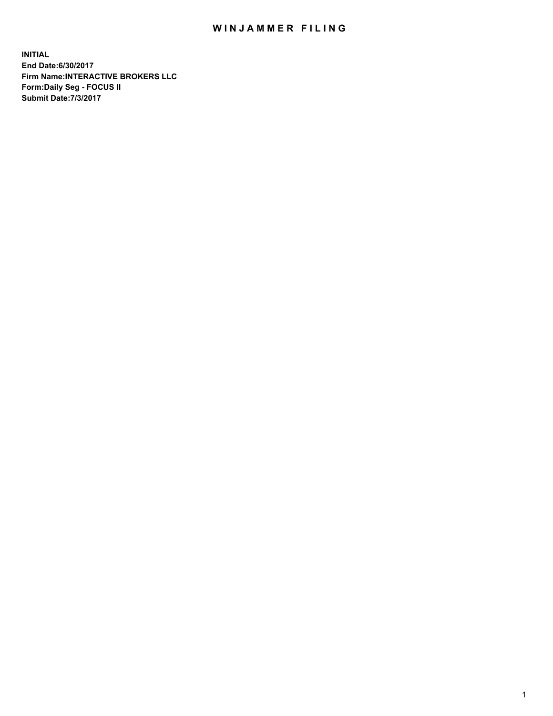## WIN JAMMER FILING

**INITIAL End Date:6/30/2017 Firm Name:INTERACTIVE BROKERS LLC Form:Daily Seg - FOCUS II Submit Date:7/3/2017**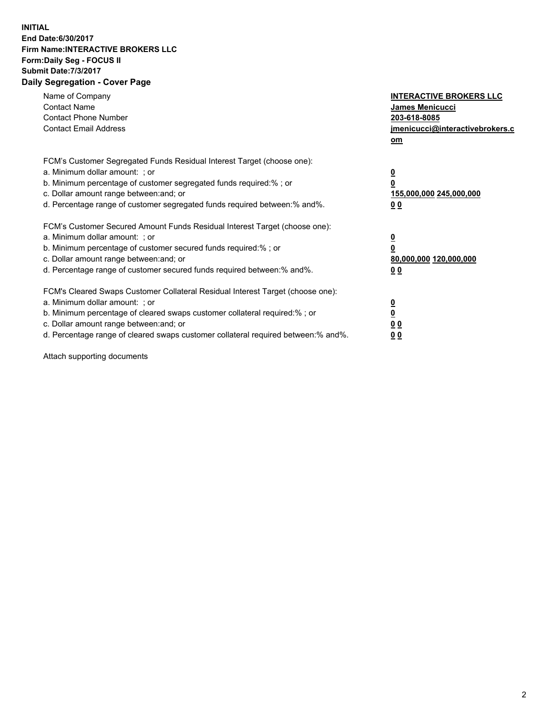## **INITIAL End Date:6/30/2017 Firm Name:INTERACTIVE BROKERS LLC Form:Daily Seg - FOCUS II Submit Date:7/3/2017 Daily Segregation - Cover Page**

| Name of Company<br><b>Contact Name</b><br><b>Contact Phone Number</b><br><b>Contact Email Address</b>                                                                                                                                                                                                                          | <b>INTERACTIVE BROKERS LLC</b><br><b>James Menicucci</b><br>203-618-8085<br>jmenicucci@interactivebrokers.c<br>om |
|--------------------------------------------------------------------------------------------------------------------------------------------------------------------------------------------------------------------------------------------------------------------------------------------------------------------------------|-------------------------------------------------------------------------------------------------------------------|
| FCM's Customer Segregated Funds Residual Interest Target (choose one):<br>a. Minimum dollar amount: ; or<br>b. Minimum percentage of customer segregated funds required:% ; or<br>c. Dollar amount range between: and; or<br>d. Percentage range of customer segregated funds required between:% and%.                         | $\overline{\mathbf{0}}$<br>0<br>155,000,000 245,000,000<br>0 <sub>0</sub>                                         |
| FCM's Customer Secured Amount Funds Residual Interest Target (choose one):<br>a. Minimum dollar amount: ; or<br>b. Minimum percentage of customer secured funds required:%; or<br>c. Dollar amount range between: and; or<br>d. Percentage range of customer secured funds required between: % and %.                          | $\overline{\mathbf{0}}$<br>$\overline{\mathbf{0}}$<br>80,000,000 120,000,000<br>00                                |
| FCM's Cleared Swaps Customer Collateral Residual Interest Target (choose one):<br>a. Minimum dollar amount: ; or<br>b. Minimum percentage of cleared swaps customer collateral required:% ; or<br>c. Dollar amount range between: and; or<br>d. Percentage range of cleared swaps customer collateral required between:% and%. | $\overline{\mathbf{0}}$<br>$\overline{\mathbf{0}}$<br>0 <sub>0</sub><br>0 <sub>0</sub>                            |

Attach supporting documents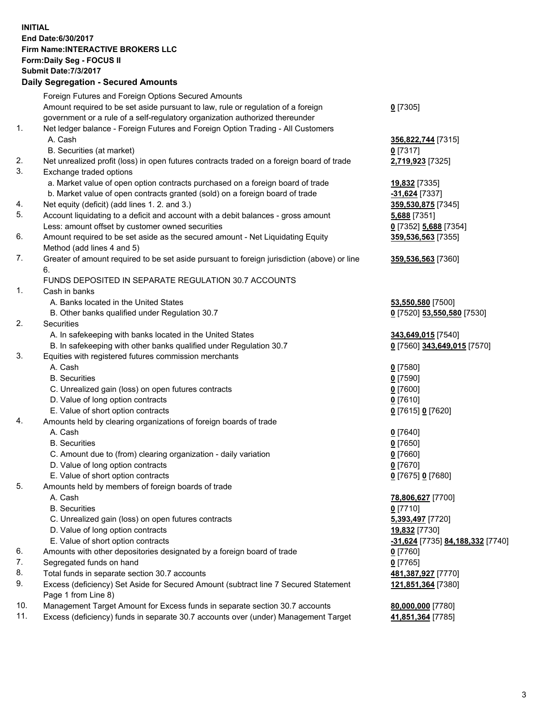**INITIAL End Date:6/30/2017 Firm Name:INTERACTIVE BROKERS LLC Form:Daily Seg - FOCUS II Submit Date:7/3/2017 Daily Segregation - Secured Amounts**

## Foreign Futures and Foreign Options Secured Amounts Amount required to be set aside pursuant to law, rule or regulation of a foreign government or a rule of a self-regulatory organization authorized thereunder **0** [7305] 1. Net ledger balance - Foreign Futures and Foreign Option Trading - All Customers A. Cash **356,822,744** [7315] B. Securities (at market) **0** [7317] 2. Net unrealized profit (loss) in open futures contracts traded on a foreign board of trade **2,719,923** [7325] 3. Exchange traded options a. Market value of open option contracts purchased on a foreign board of trade **19,832** [7335] b. Market value of open contracts granted (sold) on a foreign board of trade **-31,624** [7337] 4. Net equity (deficit) (add lines 1. 2. and 3.) **359,530,875** [7345] 5. Account liquidating to a deficit and account with a debit balances - gross amount **5,688** [7351] Less: amount offset by customer owned securities **0** [7352] **5,688** [7354] 6. Amount required to be set aside as the secured amount - Net Liquidating Equity Method (add lines 4 and 5) **359,536,563** [7355] 7. Greater of amount required to be set aside pursuant to foreign jurisdiction (above) or line 6. **359,536,563** [7360] FUNDS DEPOSITED IN SEPARATE REGULATION 30.7 ACCOUNTS 1. Cash in banks A. Banks located in the United States **53,550,580** [7500] B. Other banks qualified under Regulation 30.7 **0** [7520] **53,550,580** [7530] 2. Securities A. In safekeeping with banks located in the United States **343,649,015** [7540] B. In safekeeping with other banks qualified under Regulation 30.7 **0** [7560] **343,649,015** [7570] 3. Equities with registered futures commission merchants A. Cash **0** [7580] B. Securities **0** [7590] C. Unrealized gain (loss) on open futures contracts **0** [7600] D. Value of long option contracts **0** [7610] E. Value of short option contracts **0** [7615] **0** [7620] 4. Amounts held by clearing organizations of foreign boards of trade A. Cash **0** [7640] B. Securities **0** [7650] C. Amount due to (from) clearing organization - daily variation **0** [7660] D. Value of long option contracts **0** [7670] E. Value of short option contracts **0** [7675] **0** [7680] 5. Amounts held by members of foreign boards of trade A. Cash **78,806,627** [7700] B. Securities **0** [7710] C. Unrealized gain (loss) on open futures contracts **5,393,497** [7720] D. Value of long option contracts **19,832** [7730] E. Value of short option contracts **-31,624** [7735] **84,188,332** [7740] 6. Amounts with other depositories designated by a foreign board of trade **0** [7760] 7. Segregated funds on hand **0** [7765] 8. Total funds in separate section 30.7 accounts **481,387,927** [7770] 9. Excess (deficiency) Set Aside for Secured Amount (subtract line 7 Secured Statement Page 1 from Line 8) **121,851,364** [7380] 10. Management Target Amount for Excess funds in separate section 30.7 accounts **80,000,000** [7780] 11. Excess (deficiency) funds in separate 30.7 accounts over (under) Management Target **41,851,364** [7785]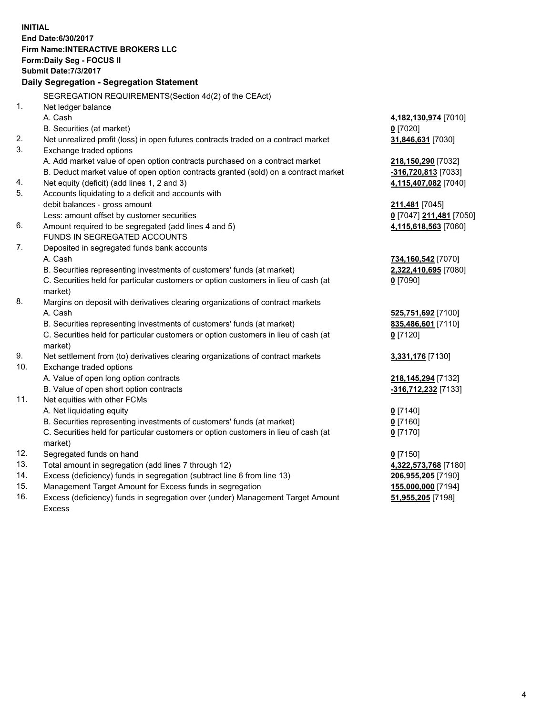**INITIAL End Date:6/30/2017 Firm Name:INTERACTIVE BROKERS LLC Form:Daily Seg - FOCUS II Submit Date:7/3/2017 Daily Segregation - Segregation Statement** SEGREGATION REQUIREMENTS(Section 4d(2) of the CEAct) 1. Net ledger balance A. Cash **4,182,130,974** [7010] B. Securities (at market) **0** [7020] 2. Net unrealized profit (loss) in open futures contracts traded on a contract market **31,846,631** [7030] 3. Exchange traded options A. Add market value of open option contracts purchased on a contract market **218,150,290** [7032] B. Deduct market value of open option contracts granted (sold) on a contract market **-316,720,813** [7033] 4. Net equity (deficit) (add lines 1, 2 and 3) **4,115,407,082** [7040] 5. Accounts liquidating to a deficit and accounts with debit balances - gross amount **211,481** [7045] Less: amount offset by customer securities **0** [7047] **211,481** [7050] 6. Amount required to be segregated (add lines 4 and 5) **4,115,618,563** [7060] FUNDS IN SEGREGATED ACCOUNTS 7. Deposited in segregated funds bank accounts A. Cash **734,160,542** [7070] B. Securities representing investments of customers' funds (at market) **2,322,410,695** [7080] C. Securities held for particular customers or option customers in lieu of cash (at market) **0** [7090] 8. Margins on deposit with derivatives clearing organizations of contract markets A. Cash **525,751,692** [7100] B. Securities representing investments of customers' funds (at market) **835,486,601** [7110] C. Securities held for particular customers or option customers in lieu of cash (at market) **0** [7120] 9. Net settlement from (to) derivatives clearing organizations of contract markets **3,331,176** [7130] 10. Exchange traded options A. Value of open long option contracts **218,145,294** [7132] B. Value of open short option contracts **-316,712,232** [7133] 11. Net equities with other FCMs A. Net liquidating equity **0** [7140] B. Securities representing investments of customers' funds (at market) **0** [7160] C. Securities held for particular customers or option customers in lieu of cash (at market) **0** [7170] 12. Segregated funds on hand **0** [7150] 13. Total amount in segregation (add lines 7 through 12) **4,322,573,768** [7180] 14. Excess (deficiency) funds in segregation (subtract line 6 from line 13) **206,955,205** [7190] 15. Management Target Amount for Excess funds in segregation **155,000,000** [7194] **51,955,205** [7198]

16. Excess (deficiency) funds in segregation over (under) Management Target Amount Excess